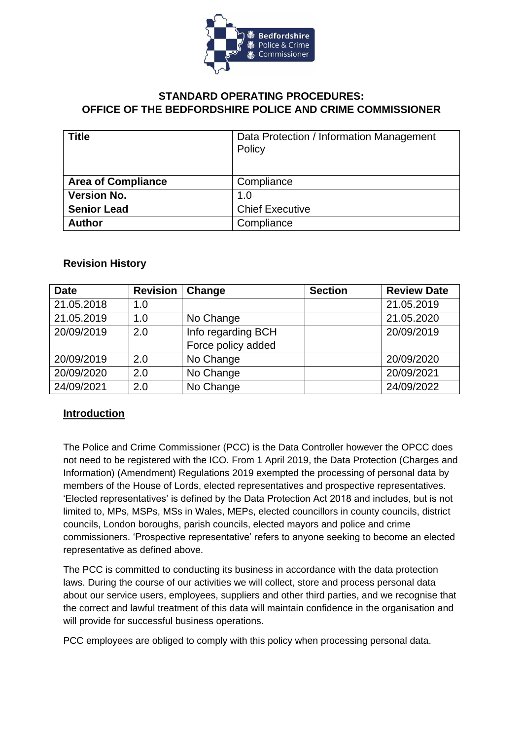

# **STANDARD OPERATING PROCEDURES: OFFICE OF THE BEDFORDSHIRE POLICE AND CRIME COMMISSIONER**

| <b>Title</b>              | Data Protection / Information Management<br>Policy |
|---------------------------|----------------------------------------------------|
| <b>Area of Compliance</b> | Compliance                                         |
| <b>Version No.</b>        | 1.0                                                |
| <b>Senior Lead</b>        | <b>Chief Executive</b>                             |
| <b>Author</b>             | Compliance                                         |

# **Revision History**

| <b>Date</b> | <b>Revision</b> | Change             | <b>Section</b> | <b>Review Date</b> |
|-------------|-----------------|--------------------|----------------|--------------------|
| 21.05.2018  | 1.0             |                    |                | 21.05.2019         |
| 21.05.2019  | 1.0             | No Change          |                | 21.05.2020         |
| 20/09/2019  | 2.0             | Info regarding BCH |                | 20/09/2019         |
|             |                 | Force policy added |                |                    |
| 20/09/2019  | 2.0             | No Change          |                | 20/09/2020         |
| 20/09/2020  | 2.0             | No Change          |                | 20/09/2021         |
| 24/09/2021  | 2.0             | No Change          |                | 24/09/2022         |

# **Introduction**

The Police and Crime Commissioner (PCC) is the Data Controller however the OPCC does not need to be registered with the ICO. From 1 April 2019, the Data Protection (Charges and Information) (Amendment) Regulations 2019 exempted the processing of personal data by members of the House of Lords, elected representatives and prospective representatives. 'Elected representatives' is defined by the Data Protection Act 2018 and includes, but is not limited to, MPs, MSPs, MSs in Wales, MEPs, elected councillors in county councils, district councils, London boroughs, parish councils, elected mayors and police and crime commissioners. 'Prospective representative' refers to anyone seeking to become an elected representative as defined above.

The PCC is committed to conducting its business in accordance with the data protection laws. During the course of our activities we will collect, store and process personal data about our service users, employees, suppliers and other third parties, and we recognise that the correct and lawful treatment of this data will maintain confidence in the organisation and will provide for successful business operations.

PCC employees are obliged to comply with this policy when processing personal data.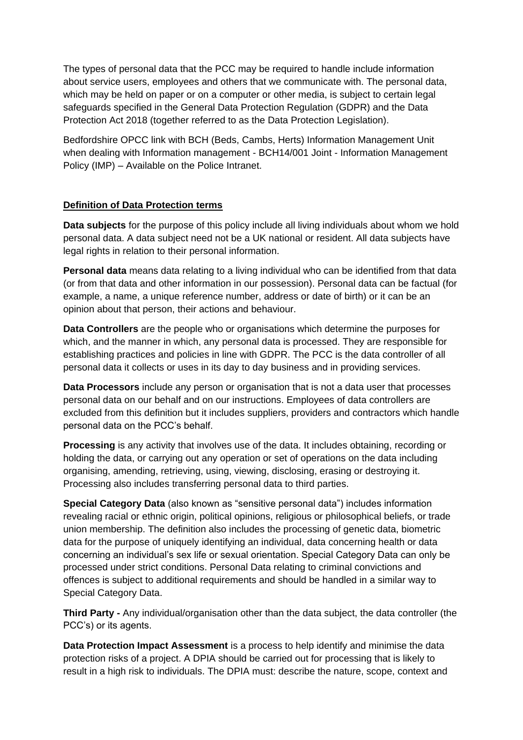The types of personal data that the PCC may be required to handle include information about service users, employees and others that we communicate with. The personal data, which may be held on paper or on a computer or other media, is subject to certain legal safeguards specified in the General Data Protection Regulation (GDPR) and the Data Protection Act 2018 (together referred to as the Data Protection Legislation).

Bedfordshire OPCC link with BCH (Beds, Cambs, Herts) Information Management Unit when dealing with Information management - BCH14/001 Joint - Information Management Policy (IMP) – Available on the Police Intranet.

# **Definition of Data Protection terms**

**Data subjects** for the purpose of this policy include all living individuals about whom we hold personal data. A data subject need not be a UK national or resident. All data subjects have legal rights in relation to their personal information.

**Personal data** means data relating to a living individual who can be identified from that data (or from that data and other information in our possession). Personal data can be factual (for example, a name, a unique reference number, address or date of birth) or it can be an opinion about that person, their actions and behaviour.

**Data Controllers** are the people who or organisations which determine the purposes for which, and the manner in which, any personal data is processed. They are responsible for establishing practices and policies in line with GDPR. The PCC is the data controller of all personal data it collects or uses in its day to day business and in providing services.

**Data Processors** include any person or organisation that is not a data user that processes personal data on our behalf and on our instructions. Employees of data controllers are excluded from this definition but it includes suppliers, providers and contractors which handle personal data on the PCC's behalf.

**Processing** is any activity that involves use of the data. It includes obtaining, recording or holding the data, or carrying out any operation or set of operations on the data including organising, amending, retrieving, using, viewing, disclosing, erasing or destroying it. Processing also includes transferring personal data to third parties.

**Special Category Data** (also known as "sensitive personal data") includes information revealing racial or ethnic origin, political opinions, religious or philosophical beliefs, or trade union membership. The definition also includes the processing of genetic data, biometric data for the purpose of uniquely identifying an individual, data concerning health or data concerning an individual's sex life or sexual orientation. Special Category Data can only be processed under strict conditions. Personal Data relating to criminal convictions and offences is subject to additional requirements and should be handled in a similar way to Special Category Data.

**Third Party -** Any individual/organisation other than the data subject, the data controller (the PCC's) or its agents.

**Data Protection Impact Assessment** is a process to help identify and minimise the data protection risks of a project. A DPIA should be carried out for processing that is likely to result in a high risk to individuals. The DPIA must: describe the nature, scope, context and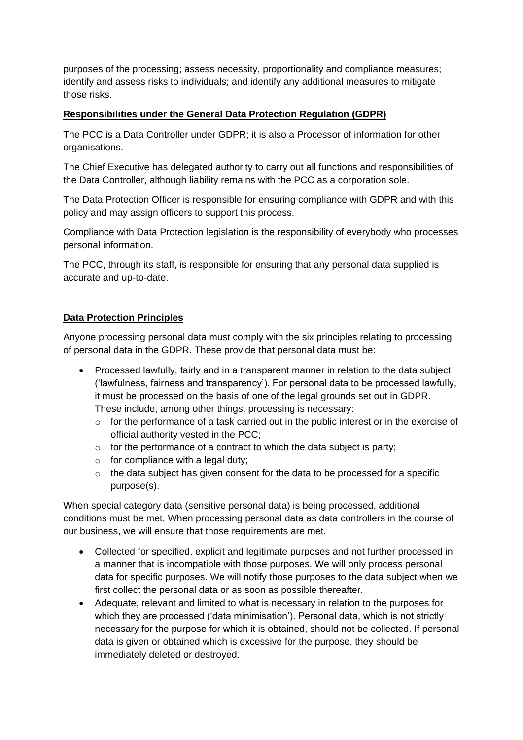purposes of the processing; assess necessity, proportionality and compliance measures; identify and assess risks to individuals; and identify any additional measures to mitigate those risks.

# **Responsibilities under the General Data Protection Regulation (GDPR)**

The PCC is a Data Controller under GDPR; it is also a Processor of information for other organisations.

The Chief Executive has delegated authority to carry out all functions and responsibilities of the Data Controller, although liability remains with the PCC as a corporation sole.

The Data Protection Officer is responsible for ensuring compliance with GDPR and with this policy and may assign officers to support this process.

Compliance with Data Protection legislation is the responsibility of everybody who processes personal information.

The PCC, through its staff, is responsible for ensuring that any personal data supplied is accurate and up-to-date.

# **Data Protection Principles**

Anyone processing personal data must comply with the six principles relating to processing of personal data in the GDPR. These provide that personal data must be:

- Processed lawfully, fairly and in a transparent manner in relation to the data subject ('lawfulness, fairness and transparency'). For personal data to be processed lawfully, it must be processed on the basis of one of the legal grounds set out in GDPR. These include, among other things, processing is necessary:
	- $\circ$  for the performance of a task carried out in the public interest or in the exercise of official authority vested in the PCC;
	- $\circ$  for the performance of a contract to which the data subject is party;
	- o for compliance with a legal duty;
	- $\circ$  the data subject has given consent for the data to be processed for a specific purpose(s).

When special category data (sensitive personal data) is being processed, additional conditions must be met. When processing personal data as data controllers in the course of our business, we will ensure that those requirements are met.

- Collected for specified, explicit and legitimate purposes and not further processed in a manner that is incompatible with those purposes. We will only process personal data for specific purposes. We will notify those purposes to the data subject when we first collect the personal data or as soon as possible thereafter.
- Adequate, relevant and limited to what is necessary in relation to the purposes for which they are processed ('data minimisation'). Personal data, which is not strictly necessary for the purpose for which it is obtained, should not be collected. If personal data is given or obtained which is excessive for the purpose, they should be immediately deleted or destroyed.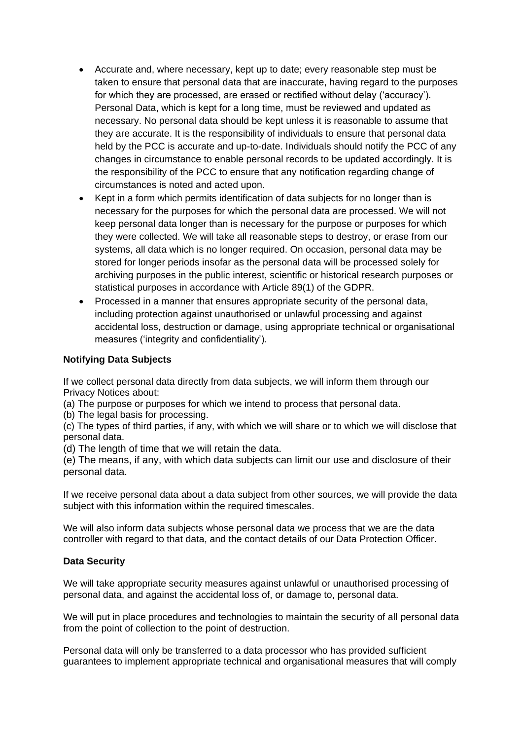- Accurate and, where necessary, kept up to date; every reasonable step must be taken to ensure that personal data that are inaccurate, having regard to the purposes for which they are processed, are erased or rectified without delay ('accuracy'). Personal Data, which is kept for a long time, must be reviewed and updated as necessary. No personal data should be kept unless it is reasonable to assume that they are accurate. It is the responsibility of individuals to ensure that personal data held by the PCC is accurate and up-to-date. Individuals should notify the PCC of any changes in circumstance to enable personal records to be updated accordingly. It is the responsibility of the PCC to ensure that any notification regarding change of circumstances is noted and acted upon.
- Kept in a form which permits identification of data subjects for no longer than is necessary for the purposes for which the personal data are processed. We will not keep personal data longer than is necessary for the purpose or purposes for which they were collected. We will take all reasonable steps to destroy, or erase from our systems, all data which is no longer required. On occasion, personal data may be stored for longer periods insofar as the personal data will be processed solely for archiving purposes in the public interest, scientific or historical research purposes or statistical purposes in accordance with Article 89(1) of the GDPR.
- Processed in a manner that ensures appropriate security of the personal data, including protection against unauthorised or unlawful processing and against accidental loss, destruction or damage, using appropriate technical or organisational measures ('integrity and confidentiality').

# **Notifying Data Subjects**

If we collect personal data directly from data subjects, we will inform them through our Privacy Notices about:

(a) The purpose or purposes for which we intend to process that personal data.

(b) The legal basis for processing.

(c) The types of third parties, if any, with which we will share or to which we will disclose that personal data.

(d) The length of time that we will retain the data.

(e) The means, if any, with which data subjects can limit our use and disclosure of their personal data.

If we receive personal data about a data subject from other sources, we will provide the data subject with this information within the required timescales.

We will also inform data subjects whose personal data we process that we are the data controller with regard to that data, and the contact details of our Data Protection Officer.

#### **Data Security**

We will take appropriate security measures against unlawful or unauthorised processing of personal data, and against the accidental loss of, or damage to, personal data.

We will put in place procedures and technologies to maintain the security of all personal data from the point of collection to the point of destruction.

Personal data will only be transferred to a data processor who has provided sufficient guarantees to implement appropriate technical and organisational measures that will comply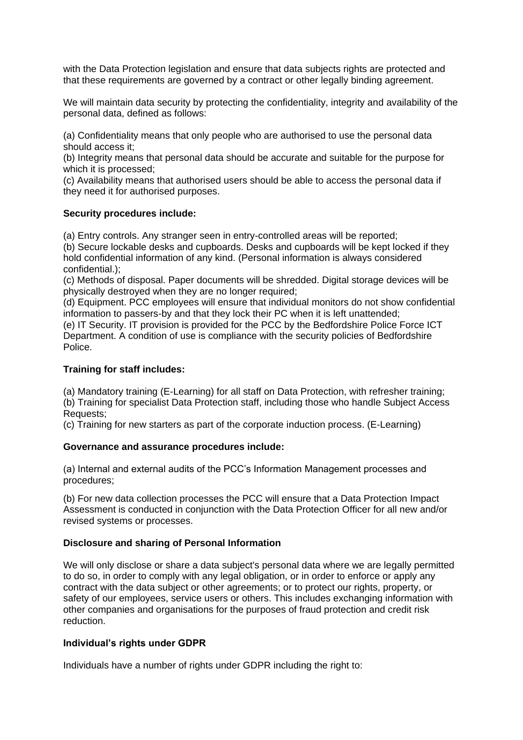with the Data Protection legislation and ensure that data subjects rights are protected and that these requirements are governed by a contract or other legally binding agreement.

We will maintain data security by protecting the confidentiality, integrity and availability of the personal data, defined as follows:

(a) Confidentiality means that only people who are authorised to use the personal data should access it;

(b) Integrity means that personal data should be accurate and suitable for the purpose for which it is processed;

(c) Availability means that authorised users should be able to access the personal data if they need it for authorised purposes.

#### **Security procedures include:**

(a) Entry controls. Any stranger seen in entry-controlled areas will be reported;

(b) Secure lockable desks and cupboards. Desks and cupboards will be kept locked if they hold confidential information of any kind. (Personal information is always considered confidential.);

(c) Methods of disposal. Paper documents will be shredded. Digital storage devices will be physically destroyed when they are no longer required;

(d) Equipment. PCC employees will ensure that individual monitors do not show confidential information to passers-by and that they lock their PC when it is left unattended;

(e) IT Security. IT provision is provided for the PCC by the Bedfordshire Police Force ICT Department. A condition of use is compliance with the security policies of Bedfordshire Police.

### **Training for staff includes:**

(a) Mandatory training (E-Learning) for all staff on Data Protection, with refresher training; (b) Training for specialist Data Protection staff, including those who handle Subject Access Requests;

(c) Training for new starters as part of the corporate induction process. (E-Learning)

# **Governance and assurance procedures include:**

(a) Internal and external audits of the PCC's Information Management processes and procedures;

(b) For new data collection processes the PCC will ensure that a Data Protection Impact Assessment is conducted in conjunction with the Data Protection Officer for all new and/or revised systems or processes.

# **Disclosure and sharing of Personal Information**

We will only disclose or share a data subject's personal data where we are legally permitted to do so, in order to comply with any legal obligation, or in order to enforce or apply any contract with the data subject or other agreements; or to protect our rights, property, or safety of our employees, service users or others. This includes exchanging information with other companies and organisations for the purposes of fraud protection and credit risk reduction.

# **Individual's rights under GDPR**

Individuals have a number of rights under GDPR including the right to: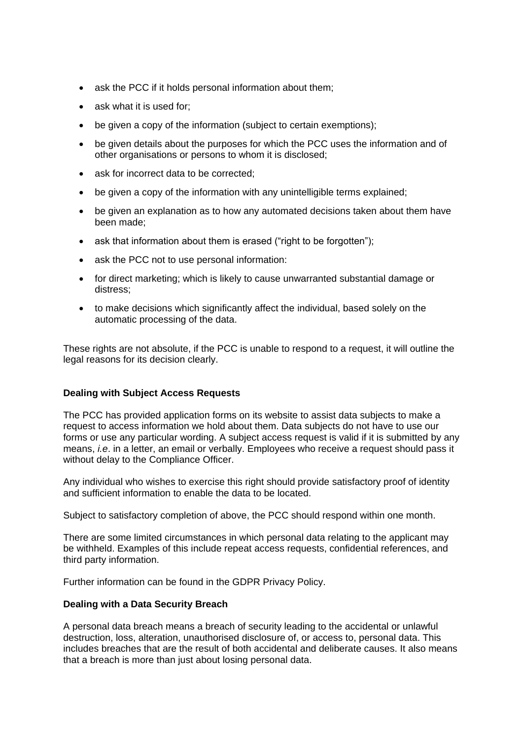- ask the PCC if it holds personal information about them;
- ask what it is used for;
- be given a copy of the information (subject to certain exemptions);
- be given details about the purposes for which the PCC uses the information and of other organisations or persons to whom it is disclosed;
- ask for incorrect data to be corrected;
- be given a copy of the information with any unintelligible terms explained;
- be given an explanation as to how any automated decisions taken about them have been made;
- ask that information about them is erased ("right to be forgotten");
- ask the PCC not to use personal information:
- for direct marketing; which is likely to cause unwarranted substantial damage or distress;
- to make decisions which significantly affect the individual, based solely on the automatic processing of the data.

These rights are not absolute, if the PCC is unable to respond to a request, it will outline the legal reasons for its decision clearly.

# **Dealing with Subject Access Requests**

The PCC has provided application forms on its website to assist data subjects to make a request to access information we hold about them. Data subjects do not have to use our forms or use any particular wording. A subject access request is valid if it is submitted by any means, *i.e*. in a letter, an email or verbally. Employees who receive a request should pass it without delay to the Compliance Officer.

Any individual who wishes to exercise this right should provide satisfactory proof of identity and sufficient information to enable the data to be located.

Subject to satisfactory completion of above, the PCC should respond within one month.

There are some limited circumstances in which personal data relating to the applicant may be withheld. Examples of this include repeat access requests, confidential references, and third party information.

Further information can be found in the GDPR Privacy Policy.

# **Dealing with a Data Security Breach**

A personal data breach means a breach of security leading to the accidental or unlawful destruction, loss, alteration, unauthorised disclosure of, or access to, personal data. This includes breaches that are the result of both accidental and deliberate causes. It also means that a breach is more than just about losing personal data.